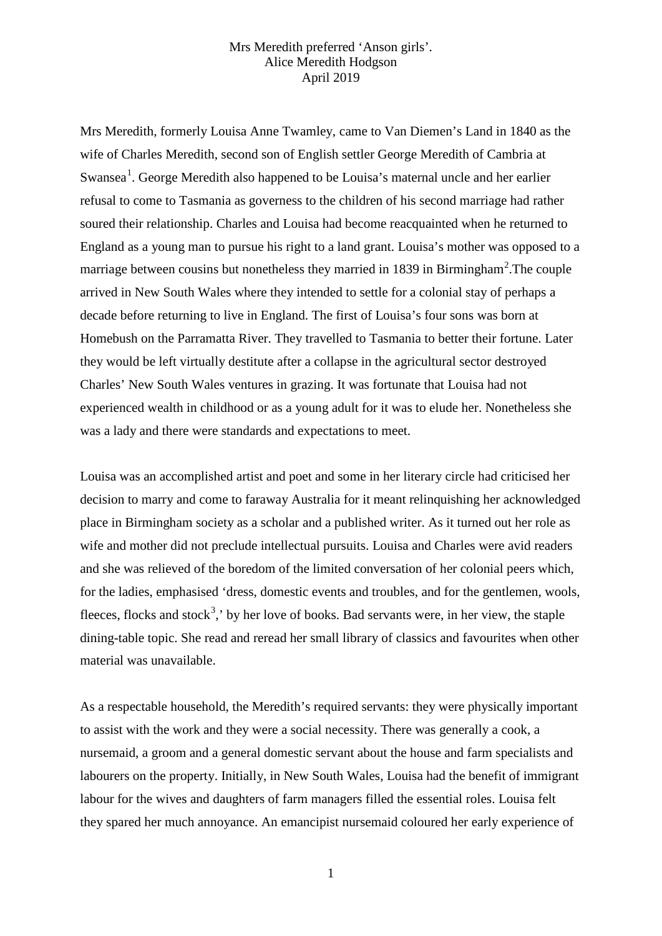Mrs Meredith, formerly Louisa Anne Twamley, came to Van Diemen's Land in 1840 as the wife of Charles Meredith, second son of English settler George Meredith of Cambria at Swansea<sup>[1](#page-6-0)</sup>. George Meredith also happened to be Louisa's maternal uncle and her earlier refusal to come to Tasmania as governess to the children of his second marriage had rather soured their relationship. Charles and Louisa had become reacquainted when he returned to England as a young man to pursue his right to a land grant. Louisa's mother was opposed to a marriage between cousins but nonetheless they married in 1839 in Birmingham<sup>[2](#page-6-1)</sup>. The couple arrived in New South Wales where they intended to settle for a colonial stay of perhaps a decade before returning to live in England. The first of Louisa's four sons was born at Homebush on the Parramatta River. They travelled to Tasmania to better their fortune. Later they would be left virtually destitute after a collapse in the agricultural sector destroyed Charles' New South Wales ventures in grazing. It was fortunate that Louisa had not experienced wealth in childhood or as a young adult for it was to elude her. Nonetheless she was a lady and there were standards and expectations to meet.

Louisa was an accomplished artist and poet and some in her literary circle had criticised her decision to marry and come to faraway Australia for it meant relinquishing her acknowledged place in Birmingham society as a scholar and a published writer. As it turned out her role as wife and mother did not preclude intellectual pursuits. Louisa and Charles were avid readers and she was relieved of the boredom of the limited conversation of her colonial peers which, for the ladies, emphasised 'dress, domestic events and troubles, and for the gentlemen, wools, fleeces, flocks and stock<sup>[3](#page-6-2)</sup>, by her love of books. Bad servants were, in her view, the staple dining-table topic. She read and reread her small library of classics and favourites when other material was unavailable.

As a respectable household, the Meredith's required servants: they were physically important to assist with the work and they were a social necessity. There was generally a cook, a nursemaid, a groom and a general domestic servant about the house and farm specialists and labourers on the property. Initially, in New South Wales, Louisa had the benefit of immigrant labour for the wives and daughters of farm managers filled the essential roles. Louisa felt they spared her much annoyance. An emancipist nursemaid coloured her early experience of

1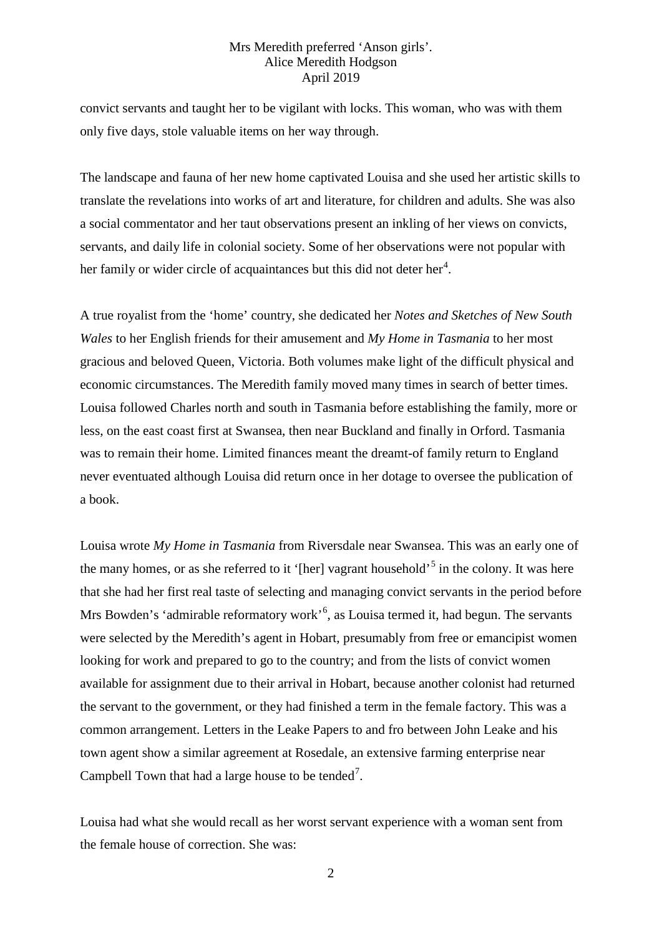convict servants and taught her to be vigilant with locks. This woman, who was with them only five days, stole valuable items on her way through.

The landscape and fauna of her new home captivated Louisa and she used her artistic skills to translate the revelations into works of art and literature, for children and adults. She was also a social commentator and her taut observations present an inkling of her views on convicts, servants, and daily life in colonial society. Some of her observations were not popular with her family or wider circle of acquaintances but this did not deter her<sup>[4](#page-6-3)</sup>.

A true royalist from the 'home' country, she dedicated her *Notes and Sketches of New South Wales* to her English friends for their amusement and *My Home in Tasmania* to her most gracious and beloved Queen, Victoria. Both volumes make light of the difficult physical and economic circumstances. The Meredith family moved many times in search of better times. Louisa followed Charles north and south in Tasmania before establishing the family, more or less, on the east coast first at Swansea, then near Buckland and finally in Orford. Tasmania was to remain their home. Limited finances meant the dreamt-of family return to England never eventuated although Louisa did return once in her dotage to oversee the publication of a book.

Louisa wrote *My Home in Tasmania* from Riversdale near Swansea. This was an early one of the many homes, or as she referred to it '[her] vagrant household'<sup>[5](#page-6-4)</sup> in the colony. It was here that she had her first real taste of selecting and managing convict servants in the period before Mrs Bowden's 'admirable reformatory work'<sup>[6](#page-6-5)</sup>, as Louisa termed it, had begun. The servants were selected by the Meredith's agent in Hobart, presumably from free or emancipist women looking for work and prepared to go to the country; and from the lists of convict women available for assignment due to their arrival in Hobart, because another colonist had returned the servant to the government, or they had finished a term in the female factory. This was a common arrangement. Letters in the Leake Papers to and fro between John Leake and his town agent show a similar agreement at Rosedale, an extensive farming enterprise near Campbell Town that had a large house to be tended<sup>[7](#page-6-6)</sup>.

Louisa had what she would recall as her worst servant experience with a woman sent from the female house of correction. She was: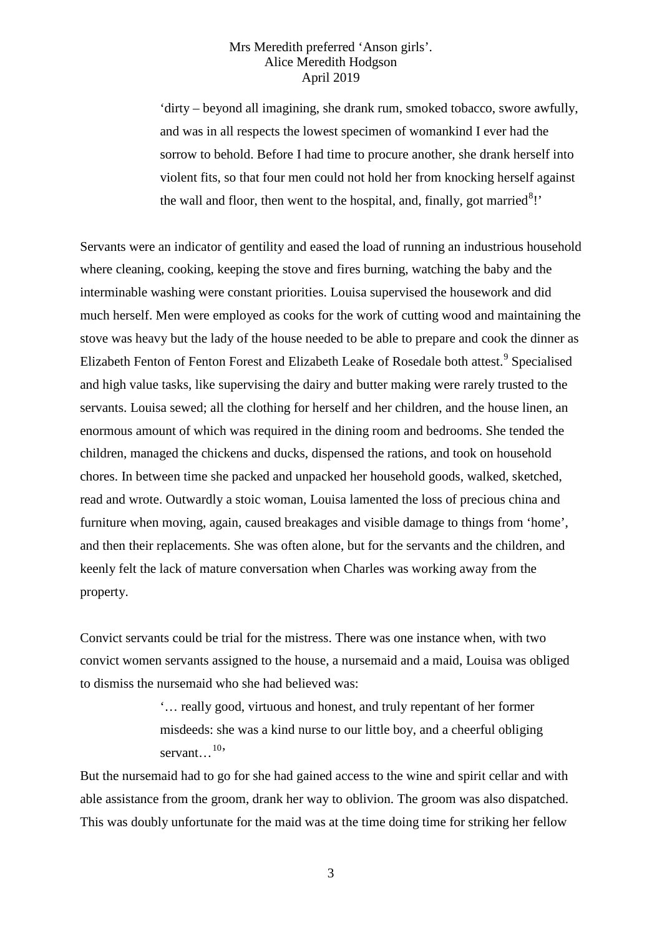'dirty – beyond all imagining, she drank rum, smoked tobacco, swore awfully, and was in all respects the lowest specimen of womankind I ever had the sorrow to behold. Before I had time to procure another, she drank herself into violent fits, so that four men could not hold her from knocking herself against the wall and floor, then went to the hospital, and, finally, got married $8$ !'

Servants were an indicator of gentility and eased the load of running an industrious household where cleaning, cooking, keeping the stove and fires burning, watching the baby and the interminable washing were constant priorities. Louisa supervised the housework and did much herself. Men were employed as cooks for the work of cutting wood and maintaining the stove was heavy but the lady of the house needed to be able to prepare and cook the dinner as Elizabeth Fenton of Fenton Forest and Elizabeth Leake of Rosedale both attest.<sup>[9](#page-6-8)</sup> Specialised and high value tasks, like supervising the dairy and butter making were rarely trusted to the servants. Louisa sewed; all the clothing for herself and her children, and the house linen, an enormous amount of which was required in the dining room and bedrooms. She tended the children, managed the chickens and ducks, dispensed the rations, and took on household chores. In between time she packed and unpacked her household goods, walked, sketched, read and wrote. Outwardly a stoic woman, Louisa lamented the loss of precious china and furniture when moving, again, caused breakages and visible damage to things from 'home', and then their replacements. She was often alone, but for the servants and the children, and keenly felt the lack of mature conversation when Charles was working away from the property.

Convict servants could be trial for the mistress. There was one instance when, with two convict women servants assigned to the house, a nursemaid and a maid, Louisa was obliged to dismiss the nursemaid who she had believed was:

> '… really good, virtuous and honest, and truly repentant of her former misdeeds: she was a kind nurse to our little boy, and a cheerful obliging servant...<sup>[10](#page-6-9)</sup>

But the nursemaid had to go for she had gained access to the wine and spirit cellar and with able assistance from the groom, drank her way to oblivion. The groom was also dispatched. This was doubly unfortunate for the maid was at the time doing time for striking her fellow

3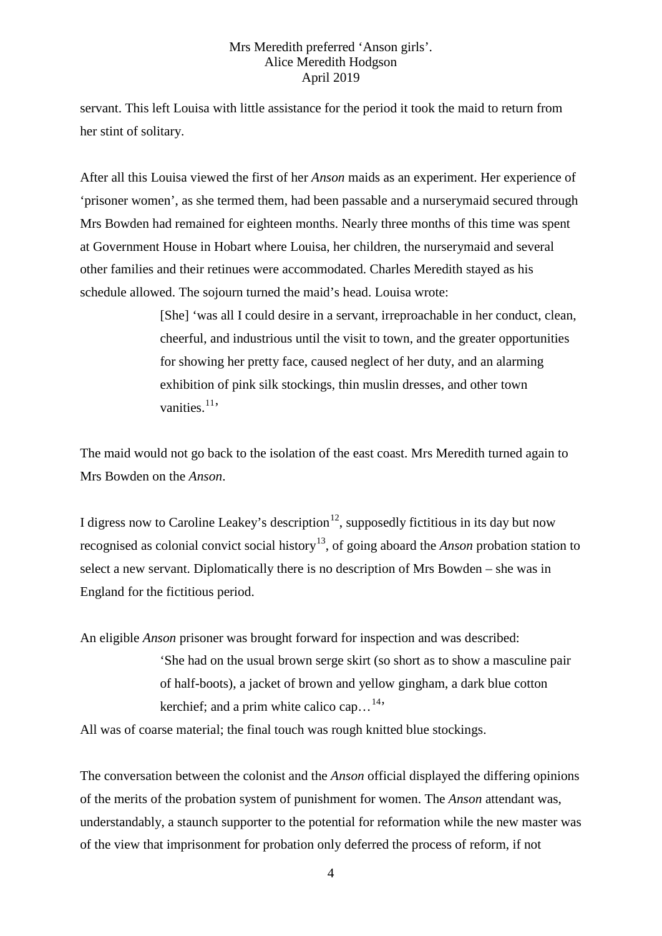servant. This left Louisa with little assistance for the period it took the maid to return from her stint of solitary.

After all this Louisa viewed the first of her *Anson* maids as an experiment. Her experience of 'prisoner women', as she termed them, had been passable and a nurserymaid secured through Mrs Bowden had remained for eighteen months. Nearly three months of this time was spent at Government House in Hobart where Louisa, her children, the nurserymaid and several other families and their retinues were accommodated. Charles Meredith stayed as his schedule allowed. The sojourn turned the maid's head. Louisa wrote:

> [She] 'was all I could desire in a servant, irreproachable in her conduct, clean, cheerful, and industrious until the visit to town, and the greater opportunities for showing her pretty face, caused neglect of her duty, and an alarming exhibition of pink silk stockings, thin muslin dresses, and other town vanities. $11$ ,

The maid would not go back to the isolation of the east coast. Mrs Meredith turned again to Mrs Bowden on the *Anson*.

I digress now to Caroline Leakey's description<sup>[12](#page-6-11)</sup>, supposedly fictitious in its day but now recognised as colonial convict social history[13,](#page-6-12) of going aboard the *Anson* probation station to select a new servant. Diplomatically there is no description of Mrs Bowden – she was in England for the fictitious period.

An eligible *Anson* prisoner was brought forward for inspection and was described:

'She had on the usual brown serge skirt (so short as to show a masculine pair of half-boots), a jacket of brown and yellow gingham, a dark blue cotton kerchief; and a prim white calico cap... $^{14}$ 

All was of coarse material; the final touch was rough knitted blue stockings.

The conversation between the colonist and the *Anson* official displayed the differing opinions of the merits of the probation system of punishment for women. The *Anson* attendant was, understandably, a staunch supporter to the potential for reformation while the new master was of the view that imprisonment for probation only deferred the process of reform, if not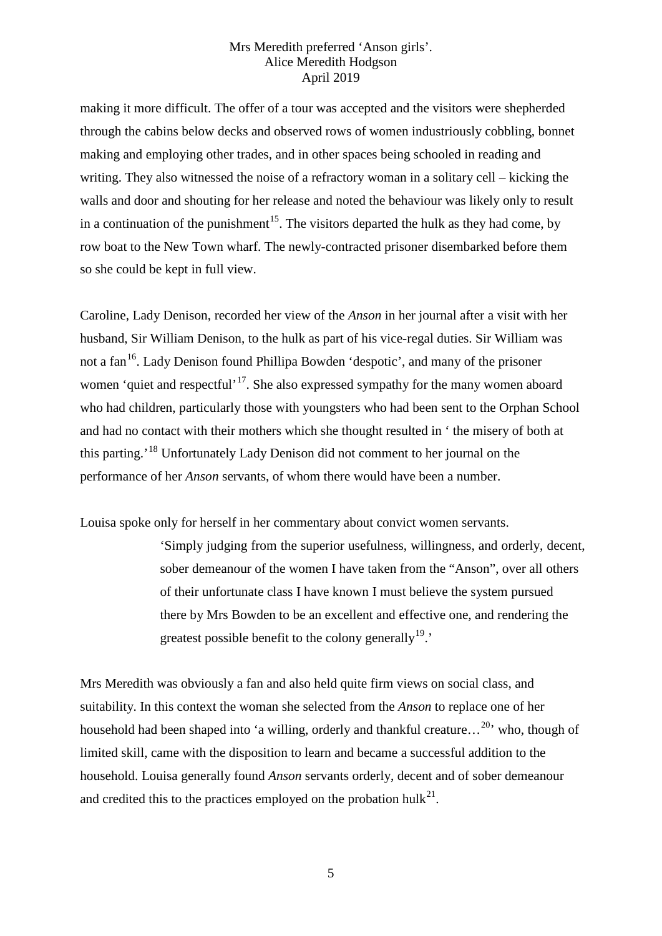making it more difficult. The offer of a tour was accepted and the visitors were shepherded through the cabins below decks and observed rows of women industriously cobbling, bonnet making and employing other trades, and in other spaces being schooled in reading and writing. They also witnessed the noise of a refractory woman in a solitary cell – kicking the walls and door and shouting for her release and noted the behaviour was likely only to result in a continuation of the punishment<sup>[15](#page-6-14)</sup>. The visitors departed the hulk as they had come, by row boat to the New Town wharf. The newly-contracted prisoner disembarked before them so she could be kept in full view.

Caroline, Lady Denison, recorded her view of the *Anson* in her journal after a visit with her husband, Sir William Denison, to the hulk as part of his vice-regal duties. Sir William was not a fan<sup>16</sup>. Lady Denison found Phillipa Bowden 'despotic', and many of the prisoner women 'quiet and respectful'<sup>17</sup>. She also expressed sympathy for the many women aboard who had children, particularly those with youngsters who had been sent to the Orphan School and had no contact with their mothers which she thought resulted in ' the misery of both at this parting.'[18](#page-6-17) Unfortunately Lady Denison did not comment to her journal on the performance of her *Anson* servants, of whom there would have been a number.

Louisa spoke only for herself in her commentary about convict women servants.

'Simply judging from the superior usefulness, willingness, and orderly, decent, sober demeanour of the women I have taken from the "Anson", over all others of their unfortunate class I have known I must believe the system pursued there by Mrs Bowden to be an excellent and effective one, and rendering the greatest possible benefit to the colony generally<sup>19</sup>.

Mrs Meredith was obviously a fan and also held quite firm views on social class, and suitability. In this context the woman she selected from the *Anson* to replace one of her household had been shaped into 'a willing, orderly and thankful creature...<sup>[20](#page-6-19)</sup> who, though of limited skill, came with the disposition to learn and became a successful addition to the household. Louisa generally found *Anson* servants orderly, decent and of sober demeanour and credited this to the practices employed on the probation hulk<sup>21</sup>.

5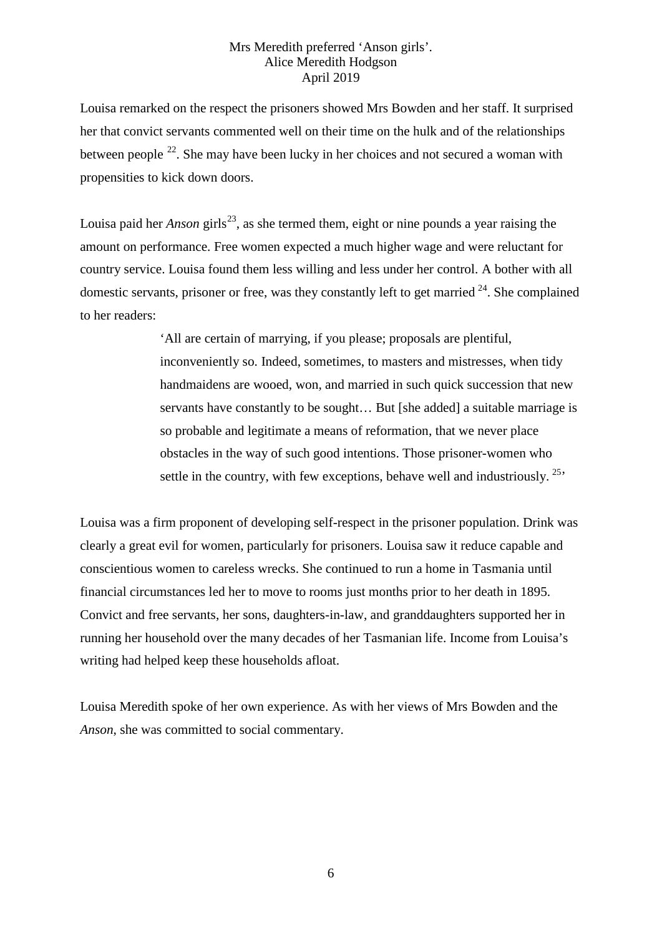Louisa remarked on the respect the prisoners showed Mrs Bowden and her staff. It surprised her that convict servants commented well on their time on the hulk and of the relationships between people  $^{22}$ . She may have been lucky in her choices and not secured a woman with propensities to kick down doors.

Louisa paid her *Anson* girls<sup>23</sup>, as she termed them, eight or nine pounds a year raising the amount on performance. Free women expected a much higher wage and were reluctant for country service. Louisa found them less willing and less under her control. A bother with all domestic servants, prisoner or free, was they constantly left to get married  $24$ . She complained to her readers:

> 'All are certain of marrying, if you please; proposals are plentiful, inconveniently so. Indeed, sometimes, to masters and mistresses, when tidy handmaidens are wooed, won, and married in such quick succession that new servants have constantly to be sought... But [she added] a suitable marriage is so probable and legitimate a means of reformation, that we never place obstacles in the way of such good intentions. Those prisoner-women who settle in the country, with few exceptions, behave well and industriously.<sup>25</sup>

Louisa was a firm proponent of developing self-respect in the prisoner population. Drink was clearly a great evil for women, particularly for prisoners. Louisa saw it reduce capable and conscientious women to careless wrecks. She continued to run a home in Tasmania until financial circumstances led her to move to rooms just months prior to her death in 1895. Convict and free servants, her sons, daughters-in-law, and granddaughters supported her in running her household over the many decades of her Tasmanian life. Income from Louisa's writing had helped keep these households afloat.

Louisa Meredith spoke of her own experience. As with her views of Mrs Bowden and the *Anson*, she was committed to social commentary.